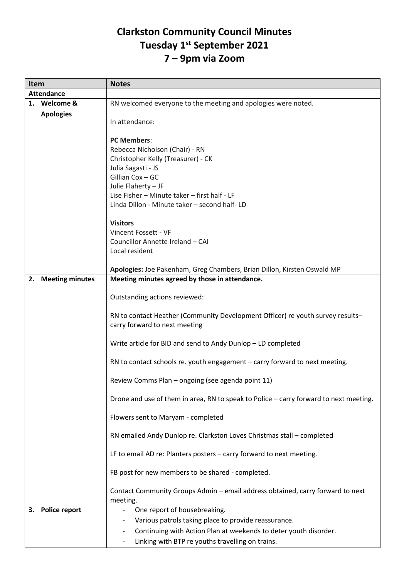## **Clarkston Community Council Minutes Tuesday 1st September 2021 7 – 9pm via Zoom**

| Item              |                        | <b>Notes</b>                                                                          |
|-------------------|------------------------|---------------------------------------------------------------------------------------|
| <b>Attendance</b> |                        |                                                                                       |
|                   | 1. Welcome &           | RN welcomed everyone to the meeting and apologies were noted.                         |
|                   | <b>Apologies</b>       |                                                                                       |
|                   |                        | In attendance:                                                                        |
|                   |                        |                                                                                       |
|                   |                        | <b>PC Members:</b>                                                                    |
|                   |                        | Rebecca Nicholson (Chair) - RN<br>Christopher Kelly (Treasurer) - CK                  |
|                   |                        | Julia Sagasti - JS                                                                    |
|                   |                        | Gillian Cox - GC                                                                      |
|                   |                        | Julie Flaherty - JF                                                                   |
|                   |                        | Lise Fisher - Minute taker - first half - LF                                          |
|                   |                        | Linda Dillon - Minute taker - second half- LD                                         |
|                   |                        |                                                                                       |
|                   |                        | <b>Visitors</b>                                                                       |
|                   |                        | Vincent Fossett - VF                                                                  |
|                   |                        | Councillor Annette Ireland - CAI                                                      |
|                   |                        | Local resident                                                                        |
|                   |                        |                                                                                       |
|                   |                        | Apologies: Joe Pakenham, Greg Chambers, Brian Dillon, Kirsten Oswald MP               |
| 2.                | <b>Meeting minutes</b> | Meeting minutes agreed by those in attendance.                                        |
|                   |                        |                                                                                       |
|                   |                        | Outstanding actions reviewed:                                                         |
|                   |                        | RN to contact Heather (Community Development Officer) re youth survey results-        |
|                   |                        | carry forward to next meeting                                                         |
|                   |                        |                                                                                       |
|                   |                        | Write article for BID and send to Andy Dunlop - LD completed                          |
|                   |                        |                                                                                       |
|                   |                        | RN to contact schools re. youth engagement - carry forward to next meeting.           |
|                   |                        |                                                                                       |
|                   |                        | Review Comms Plan - ongoing (see agenda point 11)                                     |
|                   |                        | Drone and use of them in area, RN to speak to Police - carry forward to next meeting. |
|                   |                        |                                                                                       |
|                   |                        | Flowers sent to Maryam - completed                                                    |
|                   |                        |                                                                                       |
|                   |                        | RN emailed Andy Dunlop re. Clarkston Loves Christmas stall - completed                |
|                   |                        |                                                                                       |
|                   |                        | LF to email AD re: Planters posters - carry forward to next meeting.                  |
|                   |                        | FB post for new members to be shared - completed.                                     |
|                   |                        |                                                                                       |
|                   |                        | Contact Community Groups Admin - email address obtained, carry forward to next        |
|                   |                        | meeting.                                                                              |
| 3.                | <b>Police report</b>   | One report of housebreaking.                                                          |
|                   |                        | Various patrols taking place to provide reassurance.                                  |
|                   |                        | Continuing with Action Plan at weekends to deter youth disorder.                      |
|                   |                        | Linking with BTP re youths travelling on trains.                                      |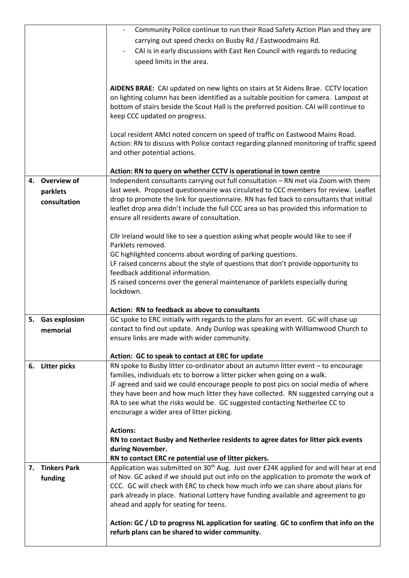|    |                     | Community Police continue to run their Road Safety Action Plan and they are                        |
|----|---------------------|----------------------------------------------------------------------------------------------------|
|    |                     | carrying out speed checks on Busby Rd / Eastwoodmains Rd.                                          |
|    |                     | CAI is in early discussions with East Ren Council with regards to reducing                         |
|    |                     | speed limits in the area.                                                                          |
|    |                     |                                                                                                    |
|    |                     |                                                                                                    |
|    |                     | AIDENS BRAE: CAI updated on new lights on stairs at St Aidens Brae. CCTV location                  |
|    |                     | on lighting column has been identified as a suitable position for camera. Lampost at               |
|    |                     | bottom of stairs beside the Scout Hall is the preferred position. CAI will continue to             |
|    |                     | keep CCC updated on progress.                                                                      |
|    |                     |                                                                                                    |
|    |                     | Local resident AMcI noted concern on speed of traffic on Eastwood Mains Road.                      |
|    |                     | Action: RN to discuss with Police contact regarding planned monitoring of traffic speed            |
|    |                     | and other potential actions.                                                                       |
|    |                     |                                                                                                    |
|    |                     | Action: RN to query on whether CCTV is operational in town centre                                  |
|    | 4. Overview of      | Independent consultants carrying out full consultation - RN met via Zoom with them                 |
|    | parklets            | last week. Proposed questionnaire was circulated to CCC members for review. Leaflet                |
|    | consultation        | drop to promote the link for questionnaire. RN has fed back to consultants that initial            |
|    |                     | leaflet drop area didn't include the full CCC area so has provided this information to             |
|    |                     | ensure all residents aware of consultation.                                                        |
|    |                     |                                                                                                    |
|    |                     | Cllr Ireland would like to see a question asking what people would like to see if                  |
|    |                     | Parklets removed.                                                                                  |
|    |                     | GC highlighted concerns about wording of parking questions.                                        |
|    |                     | LF raised concerns about the style of questions that don't provide opportunity to                  |
|    |                     | feedback additional information.                                                                   |
|    |                     | JS raised concerns over the general maintenance of parklets especially during                      |
|    |                     | lockdown.                                                                                          |
|    |                     |                                                                                                    |
|    |                     | Action: RN to feedback as above to consultants                                                     |
|    | 5. Gas explosion    | GC spoke to ERC initially with regards to the plans for an event. GC will chase up                 |
|    | memorial            | contact to find out update. Andy Dunlop was speaking with Williamwood Church to                    |
|    |                     | ensure links are made with wider community.                                                        |
|    |                     |                                                                                                    |
|    |                     | Action: GC to speak to contact at ERC for update                                                   |
| 6. | <b>Litter picks</b> | RN spoke to Busby litter co-ordinator about an autumn litter event - to encourage                  |
|    |                     | families, individuals etc to borrow a litter picker when going on a walk.                          |
|    |                     | JF agreed and said we could encourage people to post pics on social media of where                 |
|    |                     | they have been and how much litter they have collected. RN suggested carrying out a                |
|    |                     | RA to see what the risks would be. GC suggested contacting Netherlee CC to                         |
|    |                     | encourage a wider area of litter picking.                                                          |
|    |                     | <b>Actions:</b>                                                                                    |
|    |                     |                                                                                                    |
|    |                     | RN to contact Busby and Netherlee residents to agree dates for litter pick events                  |
|    |                     | during November.                                                                                   |
|    |                     | RN to contact ERC re potential use of litter pickers.                                              |
|    | 7. Tinkers Park     | Application was submitted on 30 <sup>th</sup> Aug. Just over £24K applied for and will hear at end |
|    | funding             | of Nov. GC asked if we should put out info on the application to promote the work of               |
|    |                     | CCC. GC will check with ERC to check how much info we can share about plans for                    |
|    |                     | park already in place. National Lottery have funding available and agreement to go                 |
|    |                     | ahead and apply for seating for teens.                                                             |
|    |                     |                                                                                                    |
|    |                     | Action: GC / LD to progress NL application for seating. GC to confirm that info on the             |
|    |                     | refurb plans can be shared to wider community.                                                     |
|    |                     |                                                                                                    |